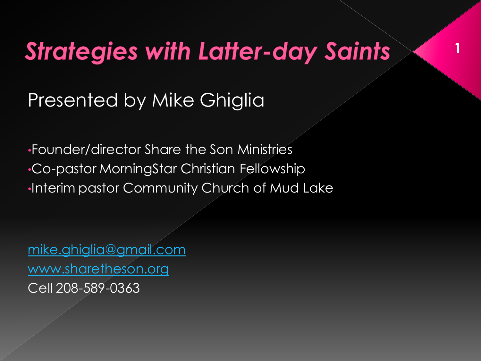#### **Strategies with Latter-day Saints**

**1**

Presented by Mike Ghiglia

•Founder/director Share the Son Ministries •Co-pastor MorningStar Christian Fellowship •Interim pastor Community Church of Mud Lake

[mike.ghiglia@gmail.com](mailto:mike.ghiglia@gmail.com) [www.sharetheson.org](http://www.sharetheson.org/) Cell 208-589-0363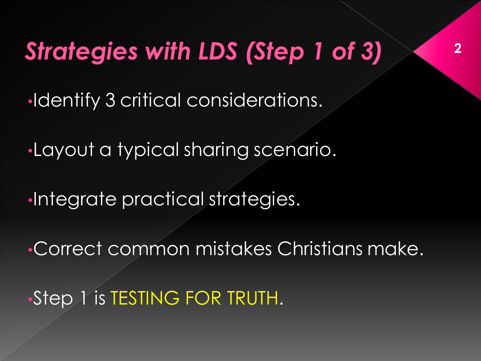# **Strategies with LDS (Step 1 of 3)**

•Identify 3 critical considerations.

•Layout a typical sharing scenario.

•Integrate practical strategies.

•Correct common mistakes Christians make.

•Step 1 is TESTING FOR TRUTH.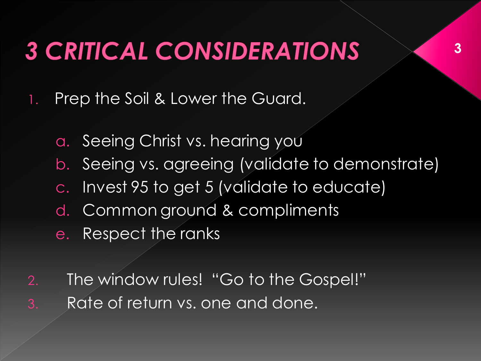### **3 CRITICAL CONSIDERATIONS**

- 1. Prep the Soil & Lower the Guard.
	- a. Seeing Christ vs. hearing you
	- b. Seeing vs. agreeing (validate to demonstrate)
	- c. Invest 95 to get 5 (validate to educate)
	- d. Common ground & compliments
	- e. Respect the ranks
- 2. The window rules! "Go to the Gospel!" 3. Rate of return vs. one and done.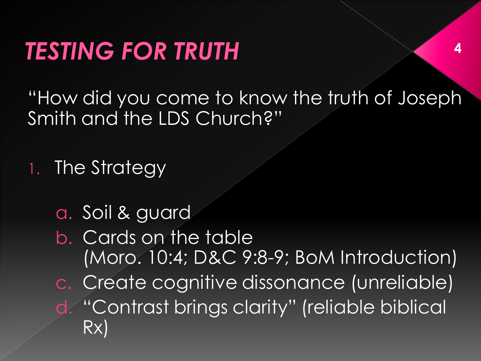"How did you come to know the truth of Joseph Smith and the LDS Church?"

1. The Strategy

a. Soil & guard

b. Cards on the table (Moro. 10:4; D&C 9:8-9; BoM Introduction) c. Create cognitive dissonance (unreliable) d. "Contrast brings clarity" (reliable biblical Rx)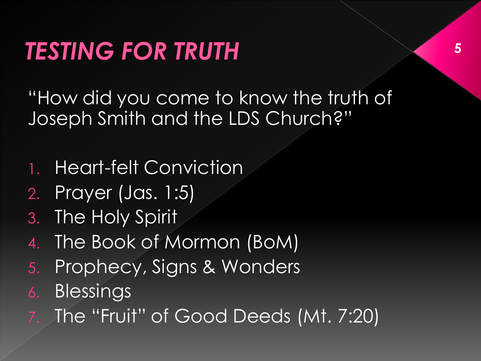"How did you come to know the truth of Joseph Smith and the LDS Church?"

- 1. Heart-felt Conviction
- 2. Prayer (Jas. 1:5)
- 3. The Holy Spirit
- 4. The Book of Mormon (BoM)
- 5. Prophecy, Signs & Wonders
- 6. Blessings
- The "Fruit" of Good Deeds (Mt. 7:20)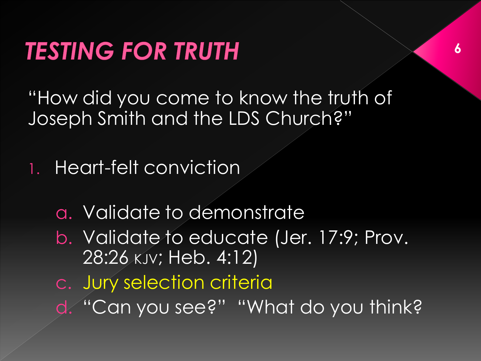"How did you come to know the truth of Joseph Smith and the LDS Church?"

1. Heart-felt conviction

- a. Validate to demonstrate
- b. Validate to educate (Jer. 17:9; Prov. 28:26 KJV; Heb. 4:12)
- c. Jury selection criteria
- d. "Can you see?" "What do you think?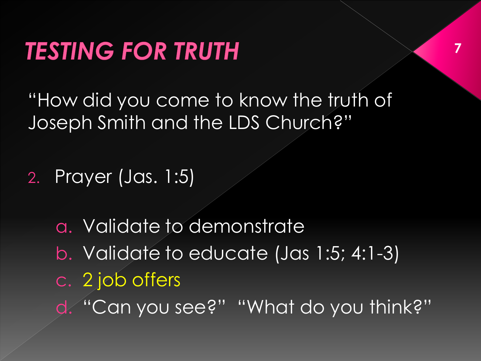"How did you come to know the truth of Joseph Smith and the LDS Church?"

**7**

2. Prayer (Jas. 1:5)

a. Validate to demonstrate b. Validate to educate (Jas 1:5; 4:1-3) c. 2 job offers d. "Can you see?" "What do you think?"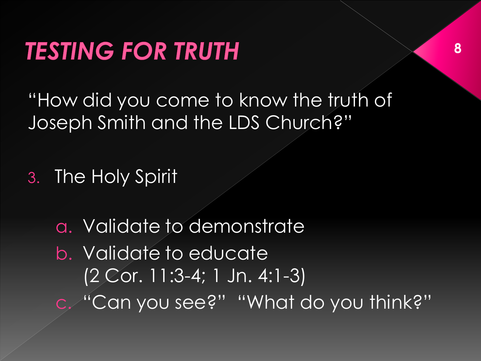"How did you come to know the truth of Joseph Smith and the LDS Church?"

3. The Holy Spirit

a. Validate to demonstrate b. Validate to educate (2 Cor. 11:3-4; 1 Jn. 4:1-3) c. "Can you see?" "What do you think?"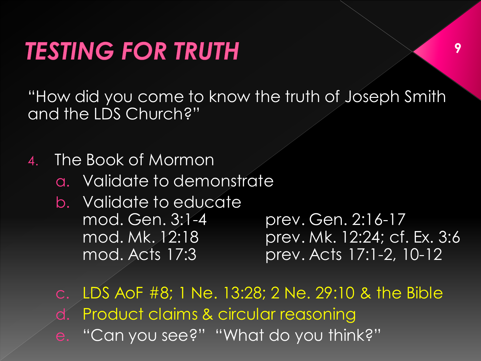"How did you come to know the truth of Joseph Smith and the LDS Church?"

4. The Book of Mormon

- a. Validate to demonstrate
- b. Validate to educate mod. Gen. 3:1-4 prev. Gen. 2:16-17

mod. Mk. 12:18 prev. Mk. 12:24; cf. Ex. 3:6 mod. Acts 17:3 prev. Acts 17:1-2, 10-12

c. LDS AoF #8; 1 Ne. 13:28; 2 Ne. 29:10 & the Bible Product claims & circular reasoning e. "Can you see?" "What do you think?"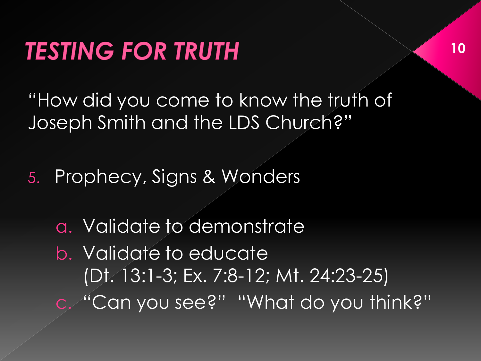"How did you come to know the truth of Joseph Smith and the LDS Church?"

5. Prophecy, Signs & Wonders

a. Validate to demonstrate b. Validate to educate (Dt. 13:1-3; Ex. 7:8-12; Mt. 24:23-25) c. "Can you see?" "What do you think?"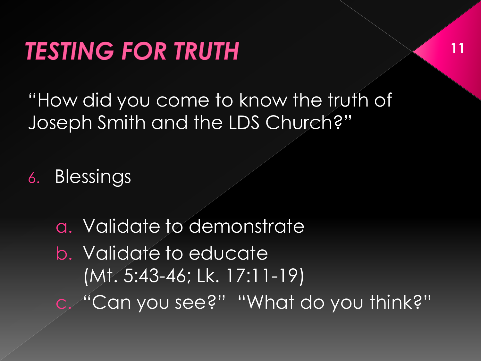"How did you come to know the truth of Joseph Smith and the LDS Church?"

6. Blessings

a. Validate to demonstrate b. Validate to educate (Mt. 5:43-46; Lk. 17:11-19) c. "Can you see?" "What do you think?"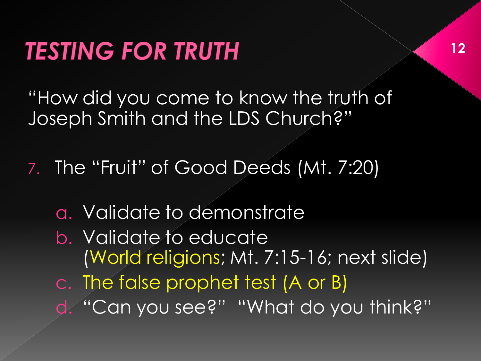"How did you come to know the truth of Joseph Smith and the LDS Church?"

7. The "Fruit" of Good Deeds (Mt. 7:20)

- a. Validate to demonstrate
- b. Validate to educate (World religions; Mt. 7:15-16; next slide) c. The false prophet test (A or B)
- d. "Can you see?" "What do you think?"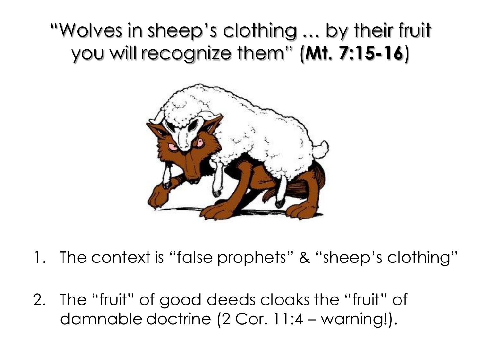#### "Wolves in sheep's clothing … by their fruit you will recognize them" (**Mt. 7:15-16**)



- 1. The context is "false prophets" & "sheep's clothing"
- 2. The "fruit" of good deeds cloaks the "fruit" of damnable doctrine (2 Cor. 11:4 – warning!).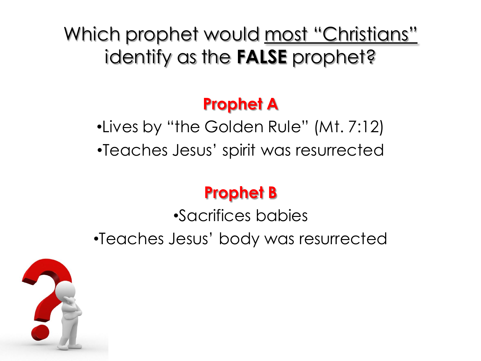Which prophet would <u>most "Christians"</u> identify as the **FALSE** prophet?

#### **Prophet A**

•Lives by "the Golden Rule" (Mt. 7:12) •Teaches Jesus' spirit was resurrected

#### **Prophet B**

•Sacrifices babies •Teaches Jesus' body was resurrected

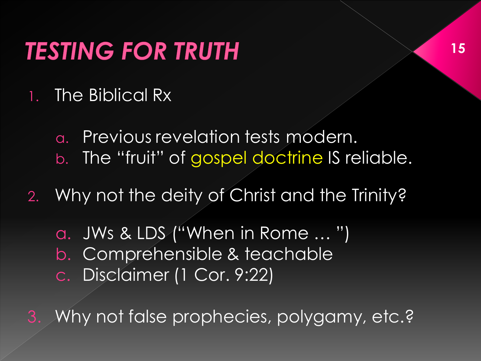- 1. The Biblical Rx
	- a. Previous revelation tests modern. b. The "fruit" of gospel doctrine IS reliable.
- 2. Why not the deity of Christ and the Trinity?
	- a. JWs & LDS ("When in Rome … ") b. Comprehensible & teachable c. Disclaimer (1 Cor. 9:22)

3. Why not false prophecies, polygamy, etc.?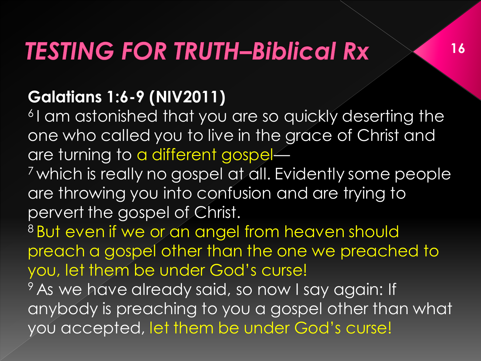## **TESTING FOR TRUTH-Biblical Rx**

#### **Galatians 1:6-9 (NIV2011)**

<sup>6</sup>I am astonished that you are so quickly deserting the one who called you to live in the grace of Christ and are turning to a different gospel—

**16**

<sup>7</sup> which is really no gospel at all. Evidently some people are throwing you into confusion and are trying to pervert the gospel of Christ.

8 But even if we or an angel from heaven should preach a gospel other than the one we preached to you, let them be under God's curse!

<sup>9</sup> As we have already said, so now I say again: If anybody is preaching to you a gospel other than what you accepted, let them be under God's curse!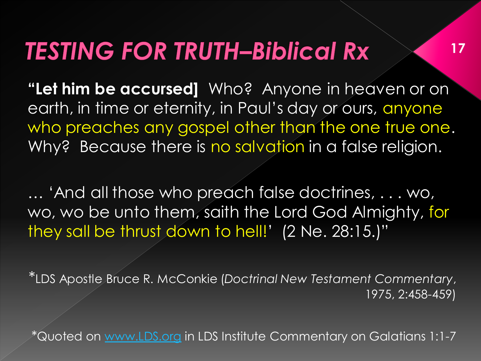#### **TESTING FOR TRUTH-Biblical Rx**

**"Let him be accursed]** Who? Anyone in heaven or on earth, in time or eternity, in Paul's day or ours, anyone who preaches any gospel other than the one true one. Why? Because there is no salvation in a false religion.

**17**

… 'And all those who preach false doctrines, . . . wo, wo, wo be unto them, saith the Lord God Almighty, for they sall be thrust down to hell!' (2 Ne. 28:15.)"

\*LDS Apostle Bruce R. McConkie (*Doctrinal New Testament Commentary*, 1975, 2:458-459)

\*Quoted on [www.LDS.org](http://www.lds.org/) in LDS Institute Commentary on Galatians 1:1-7